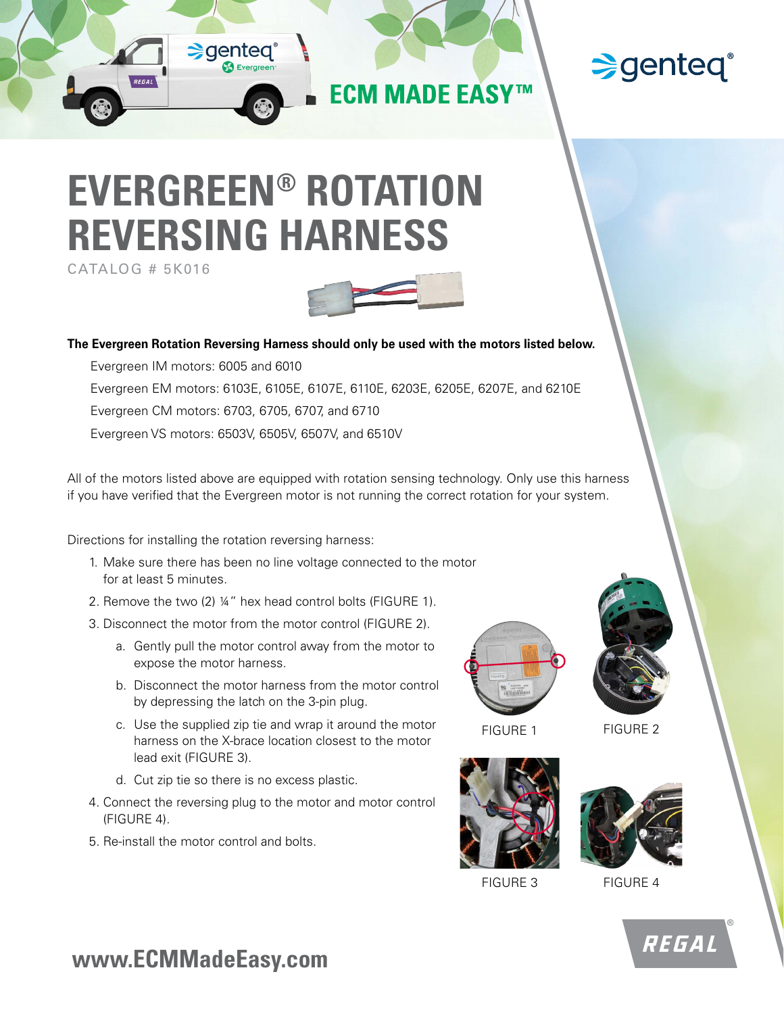

## **Senteq®**

# **EVERGREEN® ROTATION REVERSING HARNESS**

CATALOG # 5K016



**The Evergreen Rotation Reversing Harness should only be used with the motors listed below.**

Evergreen IM motors: 6005 and 6010 Evergreen EM motors: 6103E, 6105E, 6107E, 6110E, 6203E, 6205E, 6207E, and 6210E Evergreen CM motors: 6703, 6705, 6707, and 6710 Evergreen VS motors: 6503V, 6505V, 6507V, and 6510V

All of the motors listed above are equipped with rotation sensing technology. Only use this harness if you have verified that the Evergreen motor is not running the correct rotation for your system.

Directions for installing the rotation reversing harness:

- 1. Make sure there has been no line voltage connected to the motor for at least 5 minutes.
- 2. Remove the two (2) ¼" hex head control bolts (FIGURE 1).
- 3. Disconnect the motor from the motor control (FIGURE 2).
	- a. Gently pull the motor control away from the motor to expose the motor harness.
	- b. Disconnect the motor harness from the motor control by depressing the latch on the 3-pin plug.
	- c. Use the supplied zip tie and wrap it around the motor harness on the X-brace location closest to the motor lead exit (FIGURE 3).
	- d. Cut zip tie so there is no excess plastic.
- 4. Connect the reversing plug to the motor and motor control (FIGURE 4).
- 5. Re-install the motor control and bolts.



FIGURE 1 FIGURE 2





FIGURE 3 FIGURE 4



**www.ECMMadeEasy.com**